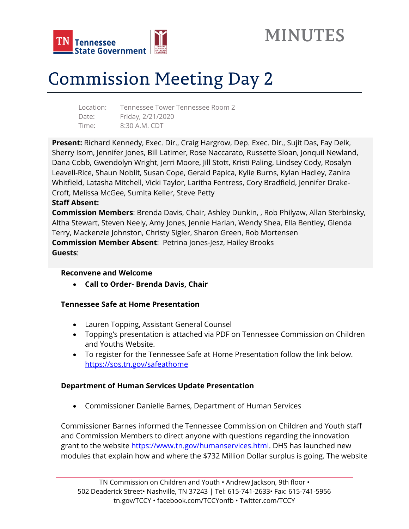



# Commission Meeting Day 2

| Location: | Tennessee Tower Tennessee Room 2 |
|-----------|----------------------------------|
| Date:     | Friday, 2/21/2020                |
| Time:     | 8:30 A.M. CDT                    |

**Present:** Richard Kennedy, Exec. Dir., Craig Hargrow, Dep. Exec. Dir., Sujit Das, Fay Delk, Sherry Isom, Jennifer Jones, Bill Latimer, Rose Naccarato, Russette Sloan, Jonquil Newland, Dana Cobb, Gwendolyn Wright, Jerri Moore, Jill Stott, Kristi Paling, Lindsey Cody, Rosalyn Leavell-Rice, Shaun Noblit, Susan Cope, Gerald Papica, Kylie Burns, Kylan Hadley, Zanira Whitfield, Latasha Mitchell, Vicki Taylor, Laritha Fentress, Cory Bradfield, Jennifer Drake-Croft, Melissa McGee, Sumita Keller, Steve Petty

#### **Staff Absent:**

**Commission Members**: Brenda Davis, Chair, Ashley Dunkin, , Rob Philyaw, Allan Sterbinsky, Altha Stewart, Steven Neely, Amy Jones, Jennie Harlan, Wendy Shea, Ella Bentley, Glenda Terry, Mackenzie Johnston, Christy Sigler, Sharon Green, Rob Mortensen **Commission Member Absent**: Petrina Jones-Jesz, Hailey Brooks **Guests**:

## **Reconvene and Welcome**

**Call to Order- Brenda Davis, Chair** 

## **Tennessee Safe at Home Presentation**

- Lauren Topping, Assistant General Counsel
- Topping's presentation is attached via PDF on Tennessee Commission on Children and Youths Website.
- To register for the Tennessee Safe at Home Presentation follow the link below. https://sos.tn.gov/safeathome

## **Department of Human Services Update Presentation**

Commissioner Danielle Barnes, Department of Human Services

Commissioner Barnes informed the Tennessee Commission on Children and Youth staff and Commission Members to direct anyone with questions regarding the innovation grant to the website https://www.tn.gov/humanservices.html. DHS has launched new modules that explain how and where the \$732 Million Dollar surplus is going. The website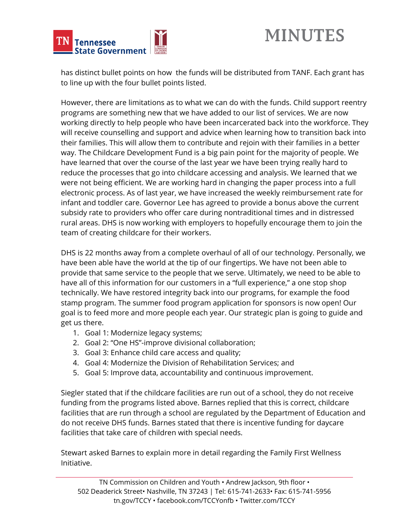



has distinct bullet points on how the funds will be distributed from TANF. Each grant has to line up with the four bullet points listed.

However, there are limitations as to what we can do with the funds. Child support reentry programs are something new that we have added to our list of services. We are now working directly to help people who have been incarcerated back into the workforce. They will receive counselling and support and advice when learning how to transition back into their families. This will allow them to contribute and rejoin with their families in a better way. The Childcare Development Fund is a big pain point for the majority of people. We have learned that over the course of the last year we have been trying really hard to reduce the processes that go into childcare accessing and analysis. We learned that we were not being efficient. We are working hard in changing the paper process into a full electronic process. As of last year, we have increased the weekly reimbursement rate for infant and toddler care. Governor Lee has agreed to provide a bonus above the current subsidy rate to providers who offer care during nontraditional times and in distressed rural areas. DHS is now working with employers to hopefully encourage them to join the team of creating childcare for their workers.

DHS is 22 months away from a complete overhaul of all of our technology. Personally, we have been able have the world at the tip of our fingertips. We have not been able to provide that same service to the people that we serve. Ultimately, we need to be able to have all of this information for our customers in a "full experience," a one stop shop technically. We have restored integrity back into our programs, for example the food stamp program. The summer food program application for sponsors is now open! Our goal is to feed more and more people each year. Our strategic plan is going to guide and get us there.

- 1. Goal 1: Modernize legacy systems;
- 2. Goal 2: "One HS"-improve divisional collaboration;
- 3. Goal 3: Enhance child care access and quality;
- 4. Goal 4: Modernize the Division of Rehabilitation Services; and
- 5. Goal 5: Improve data, accountability and continuous improvement.

Siegler stated that if the childcare facilities are run out of a school, they do not receive funding from the programs listed above. Barnes replied that this is correct, childcare facilities that are run through a school are regulated by the Department of Education and do not receive DHS funds. Barnes stated that there is incentive funding for daycare facilities that take care of children with special needs.

Stewart asked Barnes to explain more in detail regarding the Family First Wellness Initiative.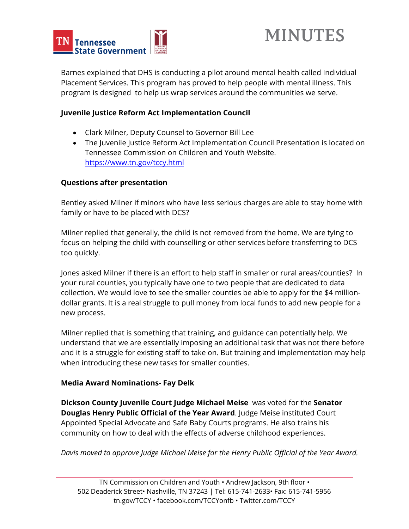



Barnes explained that DHS is conducting a pilot around mental health called Individual Placement Services. This program has proved to help people with mental illness. This program is designed to help us wrap services around the communities we serve.

### **Juvenile Justice Reform Act Implementation Council**

- Clark Milner, Deputy Counsel to Governor Bill Lee
- The Juvenile Justice Reform Act Implementation Council Presentation is located on Tennessee Commission on Children and Youth Website. https://www.tn.gov/tccy.html

#### **Questions after presentation**

Bentley asked Milner if minors who have less serious charges are able to stay home with family or have to be placed with DCS?

Milner replied that generally, the child is not removed from the home. We are tying to focus on helping the child with counselling or other services before transferring to DCS too quickly.

Jones asked Milner if there is an effort to help staff in smaller or rural areas/counties? In your rural counties, you typically have one to two people that are dedicated to data collection. We would love to see the smaller counties be able to apply for the \$4 milliondollar grants. It is a real struggle to pull money from local funds to add new people for a new process.

Milner replied that is something that training, and guidance can potentially help. We understand that we are essentially imposing an additional task that was not there before and it is a struggle for existing staff to take on. But training and implementation may help when introducing these new tasks for smaller counties.

#### **Media Award Nominations- Fay Delk**

**Dickson County Juvenile Court Judge Michael Meise** was voted for the **Senator Douglas Henry Public Official of the Year Award**. Judge Meise instituted Court Appointed Special Advocate and Safe Baby Courts programs. He also trains his community on how to deal with the effects of adverse childhood experiences.

*Davis moved to approve Judge Michael Meise for the Henry Public Official of the Year Award.*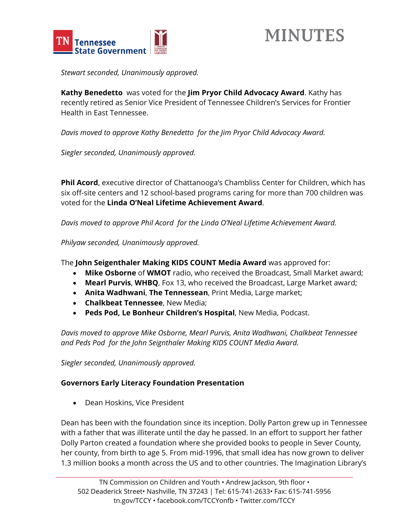



*Stewart seconded, Unanimously approved.* 

**Kathy Benedetto** was voted for the **Jim Pryor Child Advocacy Award**. Kathy has recently retired as Senior Vice President of Tennessee Children's Services for Frontier Health in East Tennessee.

*Davis moved to approve Kathy Benedetto for the Jim Pryor Child Advocacy Award.* 

*Siegler seconded, Unanimously approved.* 

**Phil Acord**, executive director of Chattanooga's Chambliss Center for Children, which has six off-site centers and 12 school-based programs caring for more than 700 children was voted for the **Linda O'Neal Lifetime Achievement Award**.

*Davis moved to approve Phil Acord for the Linda O'Neal Lifetime Achievement Award.* 

*Philyaw seconded, Unanimously approved.* 

The **John Seigenthaler Making KIDS COUNT Media Award** was approved for:

- **Mike Osborne** of **WMOT** radio, who received the Broadcast, Small Market award;
- **Mearl Purvis**, **WHBQ**, Fox 13, who received the Broadcast, Large Market award;
- **Anita Wadhwani**, **The Tennessean**, Print Media, Large market;
- **Chalkbeat Tennessee**, New Media;
- **Peds Pod, Le Bonheur Children's Hospital**, New Media, Podcast.

*Davis moved to approve Mike Osborne, Mearl Purvis, Anita Wadhwani, Chalkbeat Tennessee and Peds Pod for the John Seignthaler Making KIDS COUNT Media Award.* 

*Siegler seconded, Unanimously approved.* 

## **Governors Early Literacy Foundation Presentation**

• Dean Hoskins, Vice President

Dean has been with the foundation since its inception. Dolly Parton grew up in Tennessee with a father that was illiterate until the day he passed. In an effort to support her father Dolly Parton created a foundation where she provided books to people in Sever County, her county, from birth to age 5. From mid-1996, that small idea has now grown to deliver 1.3 million books a month across the US and to other countries. The Imagination Library's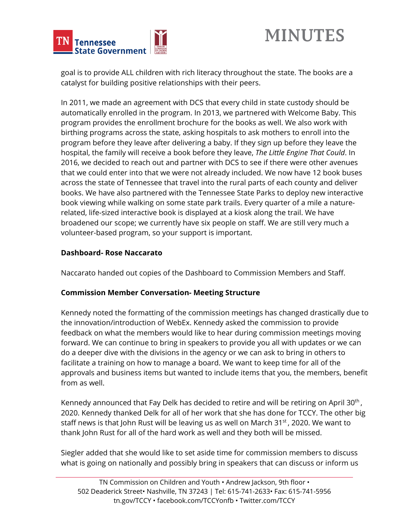



goal is to provide ALL children with rich literacy throughout the state. The books are a catalyst for building positive relationships with their peers.

In 2011, we made an agreement with DCS that every child in state custody should be automatically enrolled in the program. In 2013, we partnered with Welcome Baby. This program provides the enrollment brochure for the books as well. We also work with birthing programs across the state, asking hospitals to ask mothers to enroll into the program before they leave after delivering a baby. If they sign up before they leave the hospital, the family will receive a book before they leave, *The Little Engine That Could*. In 2016, we decided to reach out and partner with DCS to see if there were other avenues that we could enter into that we were not already included. We now have 12 book buses across the state of Tennessee that travel into the rural parts of each county and deliver books. We have also partnered with the Tennessee State Parks to deploy new interactive book viewing while walking on some state park trails. Every quarter of a mile a naturerelated, life-sized interactive book is displayed at a kiosk along the trail. We have broadened our scope; we currently have six people on staff. We are still very much a volunteer-based program, so your support is important.

## **Dashboard- Rose Naccarato**

Naccarato handed out copies of the Dashboard to Commission Members and Staff.

#### **Commission Member Conversation- Meeting Structure**

Kennedy noted the formatting of the commission meetings has changed drastically due to the innovation/introduction of WebEx. Kennedy asked the commission to provide feedback on what the members would like to hear during commission meetings moving forward. We can continue to bring in speakers to provide you all with updates or we can do a deeper dive with the divisions in the agency or we can ask to bring in others to facilitate a training on how to manage a board. We want to keep time for all of the approvals and business items but wanted to include items that you, the members, benefit from as well.

Kennedy announced that Fay Delk has decided to retire and will be retiring on April 30<sup>th</sup>, 2020. Kennedy thanked Delk for all of her work that she has done for TCCY. The other big staff news is that John Rust will be leaving us as well on March 31<sup>st</sup>, 2020. We want to thank John Rust for all of the hard work as well and they both will be missed.

Siegler added that she would like to set aside time for commission members to discuss what is going on nationally and possibly bring in speakers that can discuss or inform us